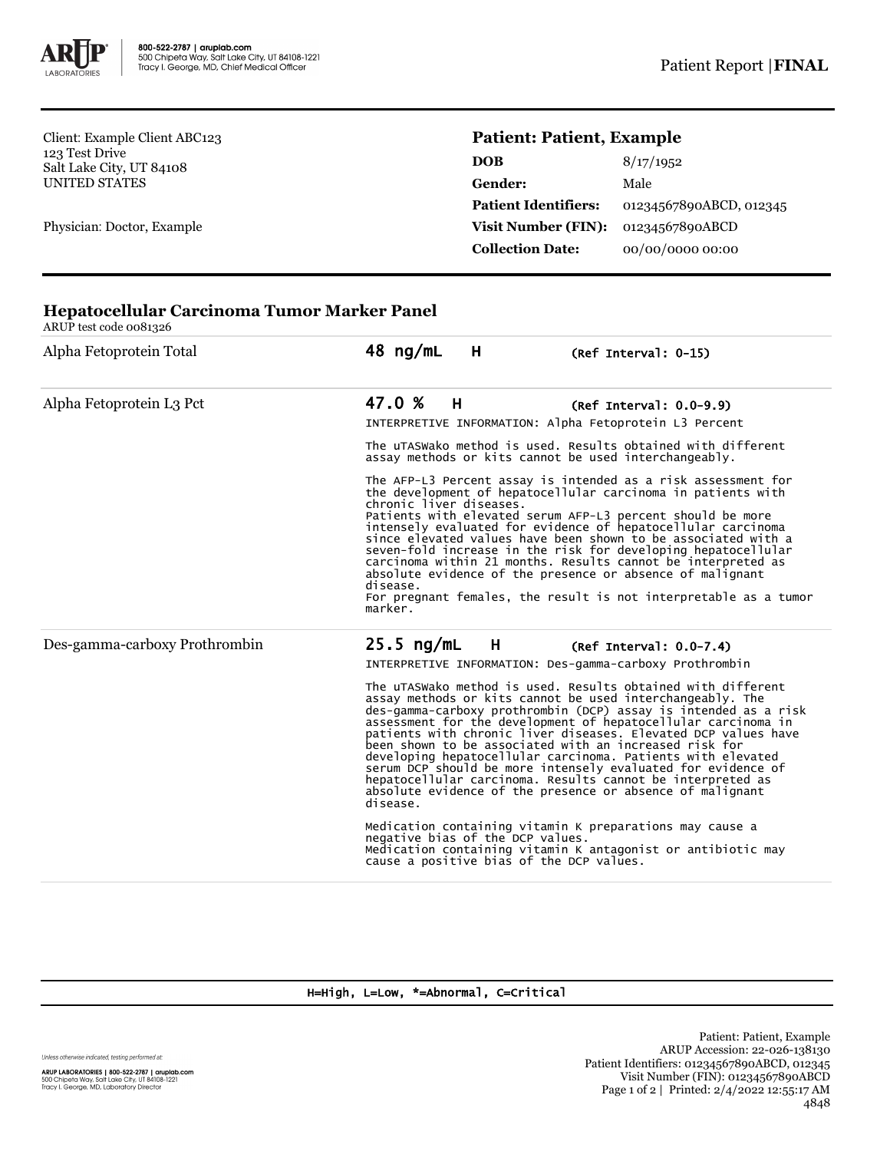

**Hepatocellular Carcinoma Tumor Marker Panel**

Client: Example Client ABC123 123 Test Drive Salt Lake City, UT 84108 UNITED STATES

Physician: Doctor, Example

## **Patient: Patient, Example**

| <b>DOB</b>                  | 8/17/1952               |
|-----------------------------|-------------------------|
| <b>Gender:</b>              | Male                    |
| <b>Patient Identifiers:</b> | 01234567890ABCD, 012345 |
| <b>Visit Number (FIN):</b>  | 01234567890ABCD         |
| <b>Collection Date:</b>     | 00/00/0000 00:00        |

| ARUP test code 0081326        |                                                                                                                                                                                                                                                                                                                                                                                                                                                                                                                                                                                                                                                                 |  |  |
|-------------------------------|-----------------------------------------------------------------------------------------------------------------------------------------------------------------------------------------------------------------------------------------------------------------------------------------------------------------------------------------------------------------------------------------------------------------------------------------------------------------------------------------------------------------------------------------------------------------------------------------------------------------------------------------------------------------|--|--|
| Alpha Fetoprotein Total       | 48 ng/mL<br>Н<br>(Ref Interval: 0-15)                                                                                                                                                                                                                                                                                                                                                                                                                                                                                                                                                                                                                           |  |  |
| Alpha Fetoprotein L3 Pct      | 47.0 %<br>H<br>$(Ref Interval: 0.0-9.9)$<br>INTERPRETIVE INFORMATION: Alpha Fetoprotein L3 Percent                                                                                                                                                                                                                                                                                                                                                                                                                                                                                                                                                              |  |  |
|                               | The uTASWako method is used. Results obtained with different<br>assay methods or kits cannot be used interchangeably.                                                                                                                                                                                                                                                                                                                                                                                                                                                                                                                                           |  |  |
|                               | The AFP-L3 Percent assay is intended as a risk assessment for<br>the development of hepatocellular carcinoma in patients with<br>chronic liver diseases.<br>Patients with elevated serum AFP-L3 percent should be more<br>intensely evaluated for evidence of hepatocellular carcinoma<br>since elevated values have been shown to be associated with a<br>seven-fold increase in the risk for developing hepatocellular<br>carcinoma within 21 months. Results cannot be interpreted as<br>absolute evidence of the presence or absence of malignant<br>disease.<br>For pregnant females, the result is not interpretable as a tumor<br>marker.                |  |  |
| Des-gamma-carboxy Prothrombin | $25.5$ ng/mL<br>H<br>$(Ref Interval: 0.0-7.4)$                                                                                                                                                                                                                                                                                                                                                                                                                                                                                                                                                                                                                  |  |  |
|                               | INTERPRETIVE INFORMATION: Des-gamma-carboxy Prothrombin                                                                                                                                                                                                                                                                                                                                                                                                                                                                                                                                                                                                         |  |  |
|                               | The uTASWako method is used. Results obtained with different<br>assay methods or kits cannot be used interchangeably. The<br>des-gamma-carboxy prothrombin (DCP) assay is intended as a risk<br>assessment for the development of hepatocellular carcinoma in<br>patients with chronic liver diseases. Elevated DCP values have<br>been shown to be associated with an increased risk for<br>developing hepatocellular carcinoma. Patients with elevated<br>serum DCP should be more intensely evaluated for evidence of<br>hepatocellular carcinoma. Results cannot be interpreted as<br>absolute evidence of the presence or absence of malignant<br>disease. |  |  |
|                               | Medication containing vitamin K preparations may cause a<br>negative bias of the DCP values.<br>Medication containing vitamin K antagonist or antibiotic may<br>cause a positive bias of the DCP values.                                                                                                                                                                                                                                                                                                                                                                                                                                                        |  |  |

## H=High, L=Low, \*=Abnormal, C=Critical

Unless otherwise indicated, testing performed at:

**ARUP LABORATORIES | 800-522-2787 | aruplab.com**<br>500 Chipeta Way, Salt Lake City, UT 84108-1221<br>Tracy I. George, MD, Laboratory Director

Patient: Patient, Example ARUP Accession: 22-026-138130 Patient Identifiers: 01234567890ABCD, 012345 Visit Number (FIN): 01234567890ABCD Page 1 of 2 | Printed: 2/4/2022 12:55:17 AM 4848